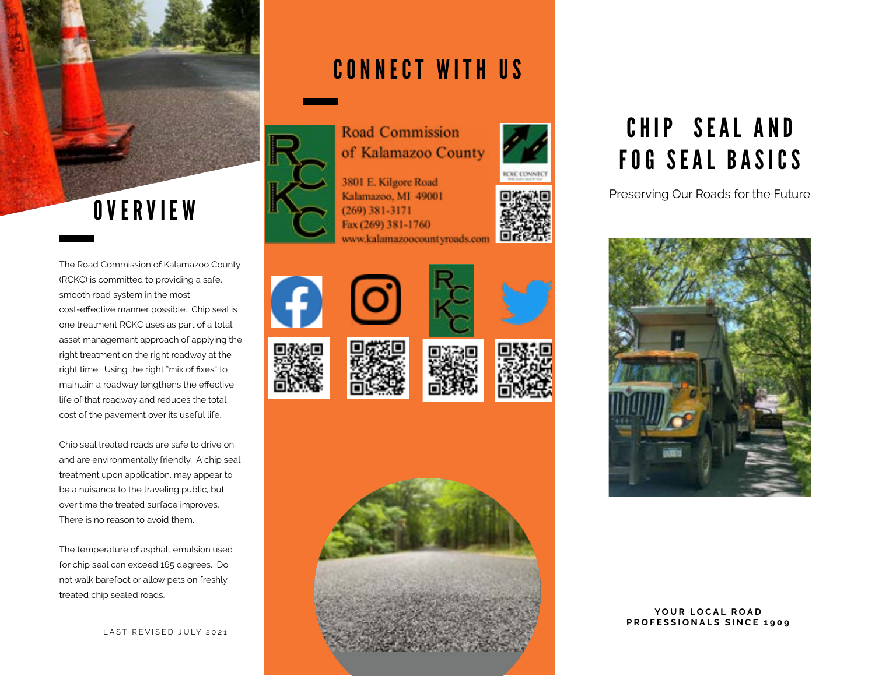

The Road Commission of Kalamazoo County (RCKC) is committed to providing a safe, smooth road system in the most cost-effective manner possible. Chip seal is one treatment RCKC uses as part of a total asset management approach of applying the right treatment on the right roadway at the right time. Using the right "mix of fixes" to maintain a roadway lengthens the effective life of that roadway and reduces the total cost of the pavement over its useful life.

Chip seal treated roads are safe to drive on and are environmentally friendly. A chip seal treatment upon application, may appear to be a nuisance to the traveling public, but over time the treated surface improves. There is no reason to avoid them.

The temperature of asphalt emulsion used for chip seal can exceed 165 degrees. Do not walk barefoot or allow pets on freshly treated chip sealed roads.

### CONNECT WITH US



3801 E. Kilgore Road Kalamazoo, MI 49001  $(269)$  381-3171 Fax (269) 381-1760 www.kalamazoocountyroads.com



















# CHIP SEAL AND FOG SEAL BASICS

Preserving Our Roads for the Future



YOUR LOCAL ROAD **PROFESSIONALS SINCE 1909**